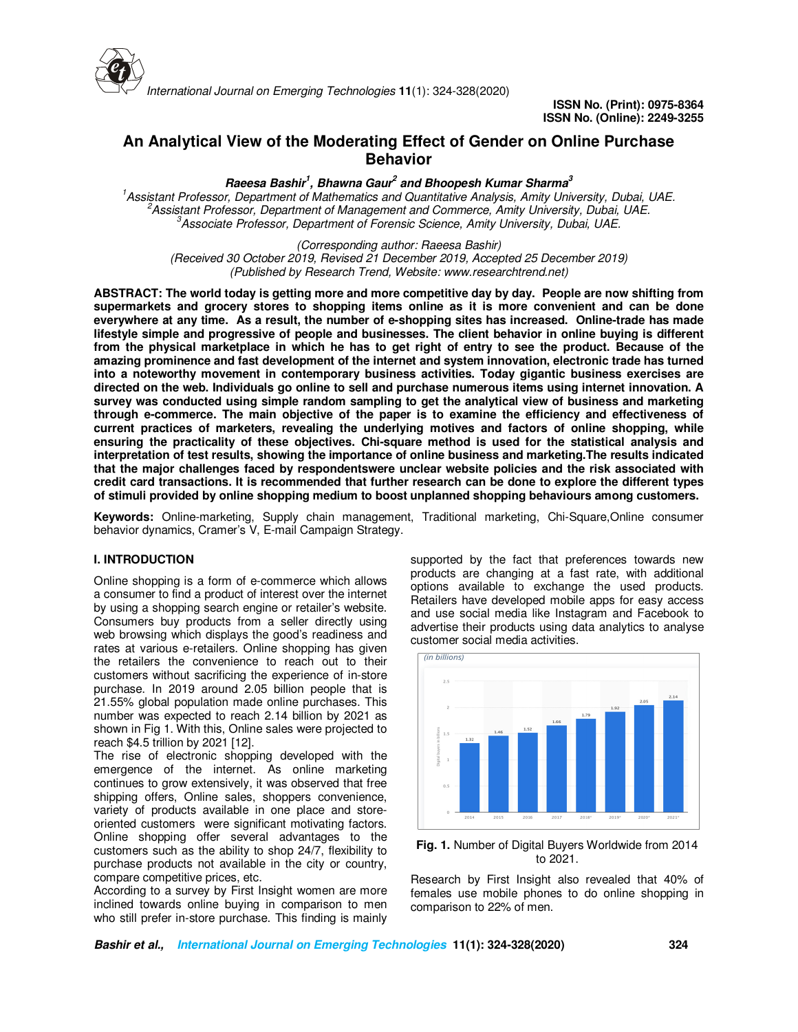

# **An Analytical View of the Moderating Effect of Gender on Online Purchase Behavior**

**Raeesa Bashir<sup>1</sup> , Bhawna Gaur<sup>2</sup> and Bhoopesh Kumar Sharma<sup>3</sup>**

*<sup>1</sup>Assistant Professor, Department of Mathematics and Quantitative Analysis, Amity University, Dubai, UAE. <sup>2</sup>Assistant Professor, Department of Management and Commerce, Amity University, Dubai, UAE. <sup>3</sup>Associate Professor, Department of Forensic Science, Amity University, Dubai, UAE.*

*(Corresponding author: Raeesa Bashir)*

*(Received 30 October 2019, Revised 21 December 2019, Accepted 25 December 2019) (Published by Research Trend, Website: www.researchtrend.net)*

**ABSTRACT: The world today is getting more and more competitive day by day. People are now shifting from supermarkets and grocery stores to shopping items online as it is more convenient and can be done everywhere at any time. As a result, the number of e-shopping sites has increased. Online-trade has made lifestyle simple and progressive of people and businesses. The client behavior in online buying is different from the physical marketplace in which he has to get right of entry to see the product. Because of the amazing prominence and fast development of the internet and system innovation, electronic trade has turned into a noteworthy movement in contemporary business activities. Today gigantic business exercises are directed on the web. Individuals go online to sell and purchase numerous items using internet innovation. A survey was conducted using simple random sampling to get the analytical view of business and marketing through e-commerce. The main objective of the paper is to examine the efficiency and effectiveness of current practices of marketers, revealing the underlying motives and factors of online shopping, while ensuring the practicality of these objectives. Chi-square method is used for the statistical analysis and interpretation of test results, showing the importance of online business and marketing.The results indicated that the major challenges faced by respondentswere unclear website policies and the risk associated with credit card transactions. It is recommended that further research can be done to explore the different types of stimuli provided by online shopping medium to boost unplanned shopping behaviours among customers.** 

**Keywords:** Online-marketing, Supply chain management, Traditional marketing, Chi-Square,Online consumer behavior dynamics, Cramer's V, E-mail Campaign Strategy.

# **I. INTRODUCTION**

Online shopping is a form of e-commerce which allows a consumer to find a product of interest over the internet by using a shopping search engine or retailer's website. Consumers buy products from a seller directly using web browsing which displays the good's readiness and rates at various e-retailers. Online shopping has given the retailers the convenience to reach out to their customers without sacrificing the experience of in-store purchase. In 2019 around 2.05 billion people that is 21.55% global population made online purchases. This number was expected to reach 2.14 billion by 2021 as shown in Fig 1. With this, Online sales were projected to reach \$4.5 trillion by 2021 [12].

The rise of electronic shopping developed with the emergence of the internet. As online marketing continues to grow extensively, it was observed that free shipping offers, Online sales, shoppers convenience, variety of products available in one place and storeoriented customers were significant motivating factors. Online shopping offer several advantages to the customers such as the ability to shop 24/7, flexibility to purchase products not available in the city or country, compare competitive prices, etc.

According to a survey by First Insight women are more inclined towards online buying in comparison to men who still prefer in-store purchase. This finding is mainly

supported by the fact that preferences towards new products are changing at a fast rate, with additional options available to exchange the used products. Retailers have developed mobile apps for easy access and use social media like Instagram and Facebook to advertise their products using data analytics to analyse customer social media activities.



**Fig. 1.** Number of Digital Buyers Worldwide from 2014 to 2021.

Research by First Insight also revealed that 40% of females use mobile phones to do online shopping in comparison to 22% of men.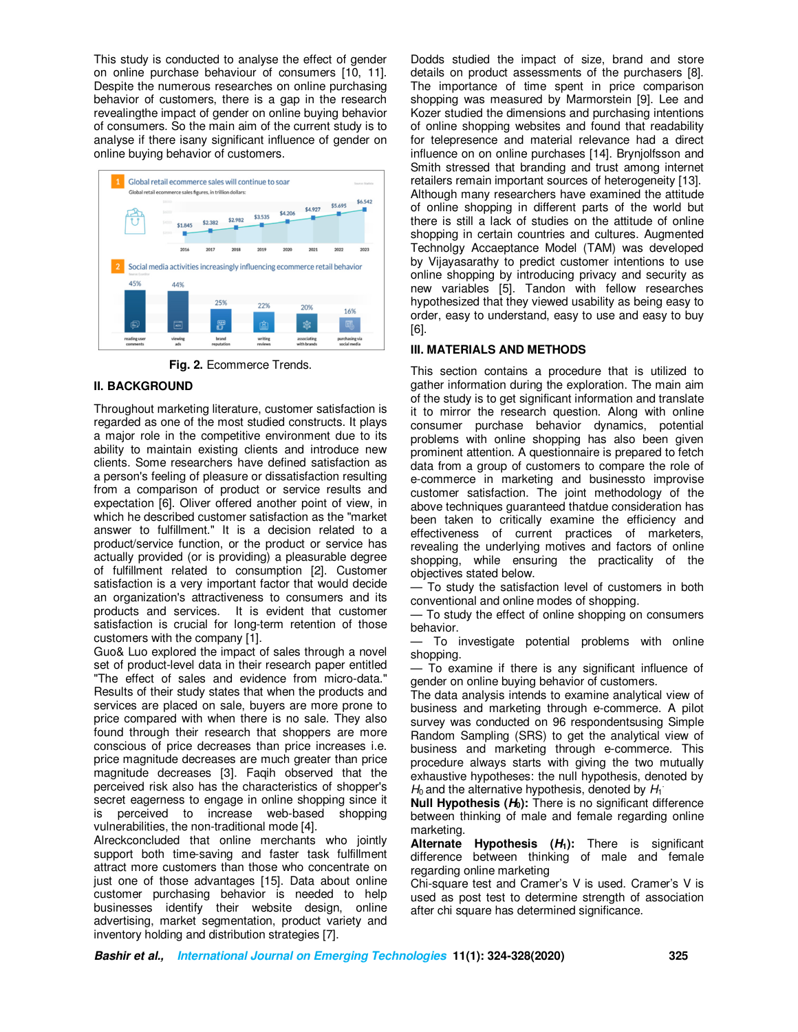This study is conducted to analyse the effect of gender on online purchase behaviour of consumers [10, 11]. Despite the numerous researches on online purchasing behavior of customers, there is a gap in the research revealingthe impact of gender on online buying behavior of consumers. So the main aim of the current study is to analyse if there isany significant influence of gender on online buying behavior of customers.



**Fig. 2.** Ecommerce Trends.

# **II. BACKGROUND**

Throughout marketing literature, customer satisfaction is regarded as one of the most studied constructs. It plays a major role in the competitive environment due to its ability to maintain existing clients and introduce new clients. Some researchers have defined satisfaction as a person's feeling of pleasure or dissatisfaction resulting from a comparison of product or service results and expectation [6]. Oliver offered another point of view, in which he described customer satisfaction as the "market answer to fulfillment." It is a decision related to a product/service function, or the product or service has actually provided (or is providing) a pleasurable degree of fulfillment related to consumption [2]. Customer satisfaction is a very important factor that would decide an organization's attractiveness to consumers and its products and services. It is evident that customer satisfaction is crucial for long-term retention of those customers with the company [1].

Guo& Luo explored the impact of sales through a novel set of product-level data in their research paper entitled "The effect of sales and evidence from micro-data." Results of their study states that when the products and services are placed on sale, buyers are more prone to price compared with when there is no sale. They also found through their research that shoppers are more conscious of price decreases than price increases i.e. price magnitude decreases are much greater than price magnitude decreases [3]. Faqih observed that the perceived risk also has the characteristics of shopper's secret eagerness to engage in online shopping since it is perceived to increase web-based shopping vulnerabilities, the non-traditional mode [4].

Alreckconcluded that online merchants who jointly support both time-saving and faster task fulfillment attract more customers than those who concentrate on just one of those advantages [15]. Data about online customer purchasing behavior is needed to help businesses identify their website design, online advertising, market segmentation, product variety and inventory holding and distribution strategies [7].

Dodds studied the impact of size, brand and store details on product assessments of the purchasers [8]. The importance of time spent in price comparison shopping was measured by Marmorstein [9]. Lee and Kozer studied the dimensions and purchasing intentions of online shopping websites and found that readability for telepresence and material relevance had a direct influence on on online purchases [14]. Brynjolfsson and Smith stressed that branding and trust among internet retailers remain important sources of heterogeneity [13]. Although many researchers have examined the attitude of online shopping in different parts of the world but there is still a lack of studies on the attitude of online shopping in certain countries and cultures. Augmented Technolgy Accaeptance Model (TAM) was developed by Vijayasarathy to predict customer intentions to use online shopping by introducing privacy and security as new variables [5]. Tandon with fellow researches hypothesized that they viewed usability as being easy to order, easy to understand, easy to use and easy to buy [6].

# **III. MATERIALS AND METHODS**

This section contains a procedure that is utilized to gather information during the exploration. The main aim of the study is to get significant information and translate it to mirror the research question. Along with online consumer purchase behavior dynamics, potential problems with online shopping has also been given prominent attention. A questionnaire is prepared to fetch data from a group of customers to compare the role of e-commerce in marketing and businessto improvise customer satisfaction. The joint methodology of the above techniques guaranteed thatdue consideration has been taken to critically examine the efficiency and effectiveness of current practices of marketers, revealing the underlying motives and factors of online shopping, while ensuring the practicality of the objectives stated below.

— To study the satisfaction level of customers in both conventional and online modes of shopping.

— To study the effect of online shopping on consumers behavior.

— To investigate potential problems with online shopping.

— To examine if there is any significant influence of gender on online buying behavior of customers.

The data analysis intends to examine analytical view of business and marketing through e-commerce. A pilot survey was conducted on 96 respondentsusing Simple Random Sampling (SRS) to get the analytical view of business and marketing through e-commerce. This procedure always starts with giving the two mutually exhaustive hypotheses: the null hypothesis, denoted by  $H_0$  and the alternative hypothesis, denoted by  $H_1$ 

**Null Hypothesis (H0):** There is no significant difference between thinking of male and female regarding online marketing.

**Alternate Hypothesis (H1):** There is significant difference between thinking of male and female regarding online marketing

Chi-square test and Cramer's V is used. Cramer's V is used as post test to determine strength of association after chi square has determined significance.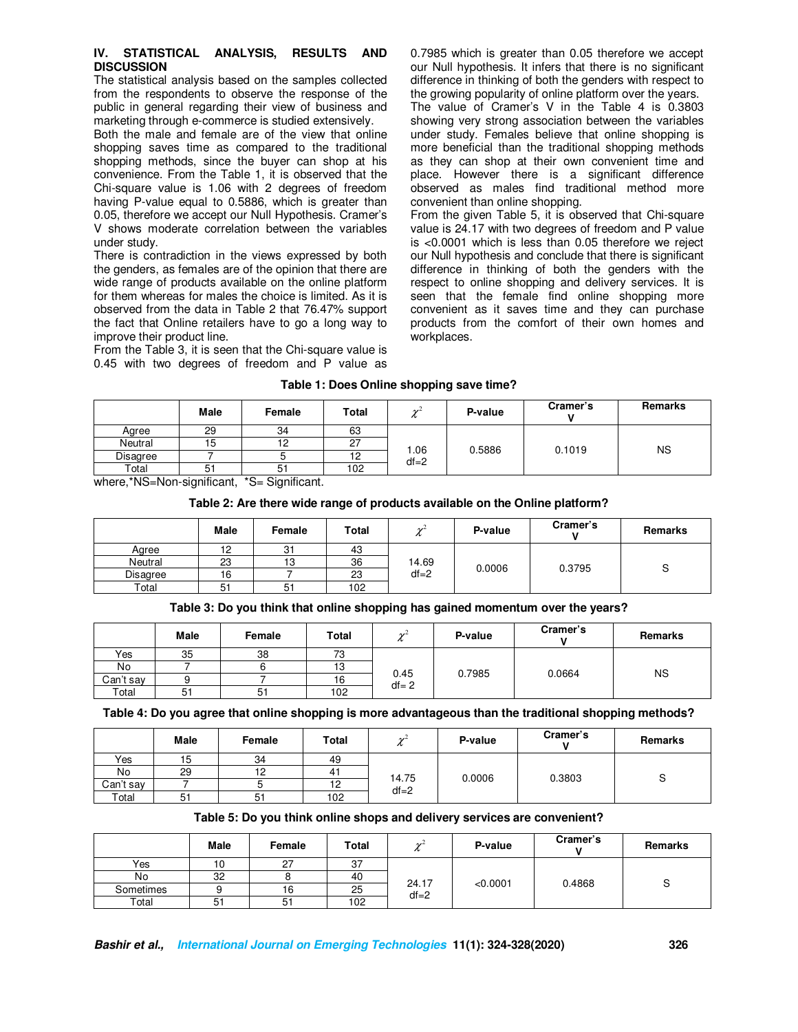#### **IV. STATISTICAL ANALYSIS, RESULTS AND DISCUSSION**

The statistical analysis based on the samples collected from the respondents to observe the response of the public in general regarding their view of business and marketing through e-commerce is studied extensively.

Both the male and female are of the view that online shopping saves time as compared to the traditional shopping methods, since the buyer can shop at his convenience. From the Table 1, it is observed that the Chi-square value is 1.06 with 2 degrees of freedom having P-value equal to 0.5886, which is greater than 0.05, therefore we accept our Null Hypothesis. Cramer's V shows moderate correlation between the variables under study.

There is contradiction in the views expressed by both the genders, as females are of the opinion that there are wide range of products available on the online platform for them whereas for males the choice is limited. As it is observed from the data in Table 2 that 76.47% support the fact that Online retailers have to go a long way to improve their product line.

From the Table 3, it is seen that the Chi-square value is 0.45 with two degrees of freedom and P value as 0.7985 which is greater than 0.05 therefore we accept our Null hypothesis. It infers that there is no significant difference in thinking of both the genders with respect to the growing popularity of online platform over the years. The value of Cramer's V in the Table 4 is 0.3803 showing very strong association between the variables under study. Females believe that online shopping is more beneficial than the traditional shopping methods as they can shop at their own convenient time and place. However there is a significant difference observed as males find traditional method more convenient than online shopping.

From the given Table 5, it is observed that Chi-square value is 24.17 with two degrees of freedom and P value is <0.0001 which is less than 0.05 therefore we reject our Null hypothesis and conclude that there is significant difference in thinking of both the genders with the respect to online shopping and delivery services. It is seen that the female find online shopping more convenient as it saves time and they can purchase products from the comfort of their own homes and workplaces.

## **Table 1: Does Online shopping save time?**

|          | <b>Male</b> | Female         | Total          | شمہ<br>$\sim$ | P-value | Cramer's | Remarks   |
|----------|-------------|----------------|----------------|---------------|---------|----------|-----------|
| Agree    | 29          | 34             | 63             |               |         |          |           |
| Neutral  | 15          | ຳ              | n,<br><b>L</b> | .06           | 0.5886  | 0.1019   | <b>NS</b> |
| Disagree |             |                | ॱ              | $df = 2$      |         |          |           |
| Total    | 51          | 5 <sub>1</sub> | 102            |               |         |          |           |

where,\*NS=Non-significant, \*S= Significant.

#### **Table 2: Are there wide range of products available on the Online platform?**

|          | <b>Male</b> | Female | <b>Total</b> | $\sim$<br>n       | P-value | Cramer's | Remarks |
|----------|-------------|--------|--------------|-------------------|---------|----------|---------|
| Agree    | 12          | 31     | 43           |                   |         |          |         |
| Neutral  | 23          | 13     | 36           | 14.69<br>$df = 2$ | 0.0006  | 0.3795   | ບ       |
| Disagree | 16          |        | 23           |                   |         |          |         |
| Total    | 51          | 51     | 102          |                   |         |          |         |

### **Table 3: Do you think that online shopping has gained momentum over the years?**

|           | Male | Female | Total | شمہ              | P-value | Cramer's | Remarks   |
|-----------|------|--------|-------|------------------|---------|----------|-----------|
| Yes       | 35   | 38     | 73    |                  |         |          |           |
| No        |      |        | 13    |                  | 0.7985  | 0.0664   | <b>NS</b> |
| Can't say |      |        | 16    | 0.45<br>$df = 2$ |         |          |           |
| Total     | 51   | 51     | 102   |                  |         |          |           |

### **Table 4: Do you agree that online shopping is more advantageous than the traditional shopping methods?**

|           | <b>Male</b> | Female | <b>Total</b> | $\sim$   | P-value | Cramer's | <b>Remarks</b> |
|-----------|-------------|--------|--------------|----------|---------|----------|----------------|
| Yes       | 15          | 34     | 49           |          |         |          |                |
| No        | 29          | 12     |              | 14.75    | 0.0006  | 0.3803   |                |
| Can't say |             |        | 12           | $df = 2$ |         |          |                |
| Total     | 51          | 51     | 102          |          |         |          |                |

### **Table 5: Do you think online shops and delivery services are convenient?**

|           | Male     | Female        | Total | شمہ<br>v          | P-value  | Cramer's | Remarks |
|-----------|----------|---------------|-------|-------------------|----------|----------|---------|
| Yes       | 10       | $\sim$<br>، ے | 37    |                   |          |          |         |
| No        | 32       |               | 40    | 24.17<br>$df = 2$ | < 0.0001 | 0.4868   | ັ       |
| Sometimes |          | 16            | 25    |                   |          |          |         |
| Total     | ົ<br>ا ت | 51            | 102   |                   |          |          |         |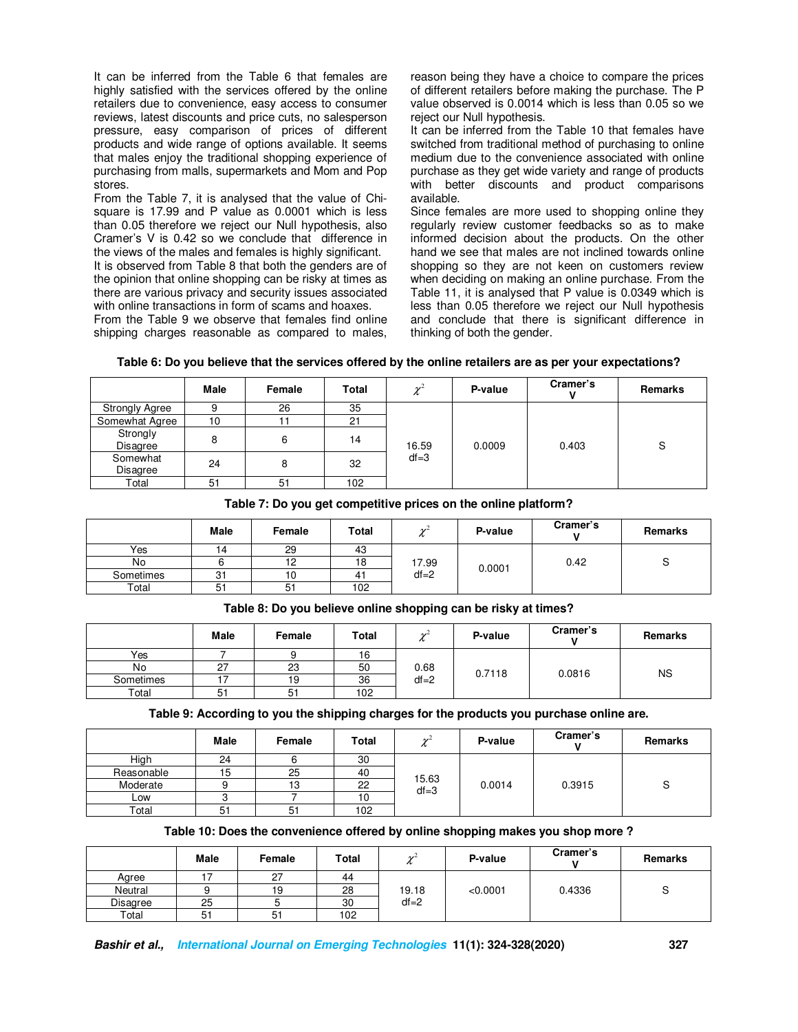It can be inferred from the Table 6 that females are highly satisfied with the services offered by the online retailers due to convenience, easy access to consumer reviews, latest discounts and price cuts, no salesperson pressure, easy comparison of prices of different products and wide range of options available. It seems that males enjoy the traditional shopping experience of purchasing from malls, supermarkets and Mom and Pop stores.

From the Table 7, it is analysed that the value of Chisquare is 17.99 and P value as 0.0001 which is less than 0.05 therefore we reject our Null hypothesis, also Cramer's V is 0.42 so we conclude that difference in the views of the males and females is highly significant.

It is observed from Table 8 that both the genders are of the opinion that online shopping can be risky at times as there are various privacy and security issues associated with online transactions in form of scams and hoaxes.

From the Table 9 we observe that females find online shipping charges reasonable as compared to males,

reason being they have a choice to compare the prices of different retailers before making the purchase. The P value observed is 0.0014 which is less than 0.05 so we reject our Null hypothesis.

It can be inferred from the Table 10 that females have switched from traditional method of purchasing to online medium due to the convenience associated with online purchase as they get wide variety and range of products with better discounts and product comparisons available.

Since females are more used to shopping online they regularly review customer feedbacks so as to make informed decision about the products. On the other hand we see that males are not inclined towards online shopping so they are not keen on customers review when deciding on making an online purchase. From the Table 11, it is analysed that P value is 0.0349 which is less than 0.05 therefore we reject our Null hypothesis and conclude that there is significant difference in thinking of both the gender.

|                       | <b>Male</b> | Female | Total | $\mathcal{V}^{\mathcal{L}}$ | P-value | Cramer's | Remarks |
|-----------------------|-------------|--------|-------|-----------------------------|---------|----------|---------|
| <b>Strongly Agree</b> |             | 26     | 35    |                             |         |          |         |
| Somewhat Agree        | 10          |        | 21    |                             |         |          |         |
| Strongly<br>Disagree  | 8           | 6      | 14    | 16.59                       | 0.0009  | 0.403    | S       |
| Somewhat<br>Disagree  | 24          | 8      | 32    | $df = 3$                    |         |          |         |
| Total                 | 51          | 51     | 102   |                             |         |          |         |

**Table 7: Do you get competitive prices on the online platform?** 

|           | Male | Female | Total | $\sim$<br>n                 | P-value | Cramer's | Remarks |
|-----------|------|--------|-------|-----------------------------|---------|----------|---------|
| Yes       |      | 29     | 43    |                             |         |          |         |
| No        |      | 12     | 18    | 17.99<br>0.0001<br>$df = 2$ |         | 0.42     | ບ       |
| Sometimes | 31   | 10     | 41    |                             |         |          |         |
| Total     | 51   | 51     | 102   |                             |         |          |         |

**Table 8: Do you believe online shopping can be risky at times?** 

|           | Male | Female | Total | $\sim$<br>n      | P-value | Cramer's | Remarks   |
|-----------|------|--------|-------|------------------|---------|----------|-----------|
| Yes       |      |        | 16    |                  |         |          |           |
| No        | 27   | 23     | 50    | 0.68<br>$df = 2$ | 0.7118  | 0.0816   | <b>NS</b> |
| Sometimes | Ē    | 19     | 36    |                  |         |          |           |
| Total     | 51   | 51     | 102   |                  |         |          |           |

**Table 9: According to you the shipping charges for the products you purchase online are.** 

|            | <b>Male</b> | Female | <b>Total</b> | $\sim$<br>n       | P-value | Cramer's | Remarks |
|------------|-------------|--------|--------------|-------------------|---------|----------|---------|
| High       | 24          |        | 30           |                   | 0.0014  | 0.3915   | c<br>っ  |
| Reasonable | 15          | 25     | 40           |                   |         |          |         |
| Moderate   |             | 13     | 22           | 15.63<br>$df = 3$ |         |          |         |
| Low        | C           |        | 10           |                   |         |          |         |
| Total      | 51          | 51     | 102          |                   |         |          |         |

# **Table 10: Does the convenience offered by online shopping makes you shop more ?**

|          | Male | Female | Total | $\sim$<br>$\sim$ | P-value  | Cramer's | Remarks |
|----------|------|--------|-------|------------------|----------|----------|---------|
| Agree    |      | 27     | 44    |                  |          |          |         |
| Neutral  |      | 19     | 28    | 19.18            | < 0.0001 | 0.4336   |         |
| Disagree | 25   |        | 30    | $df = 2$         |          |          |         |
| Total    | 51   | 51     | 102   |                  |          |          |         |